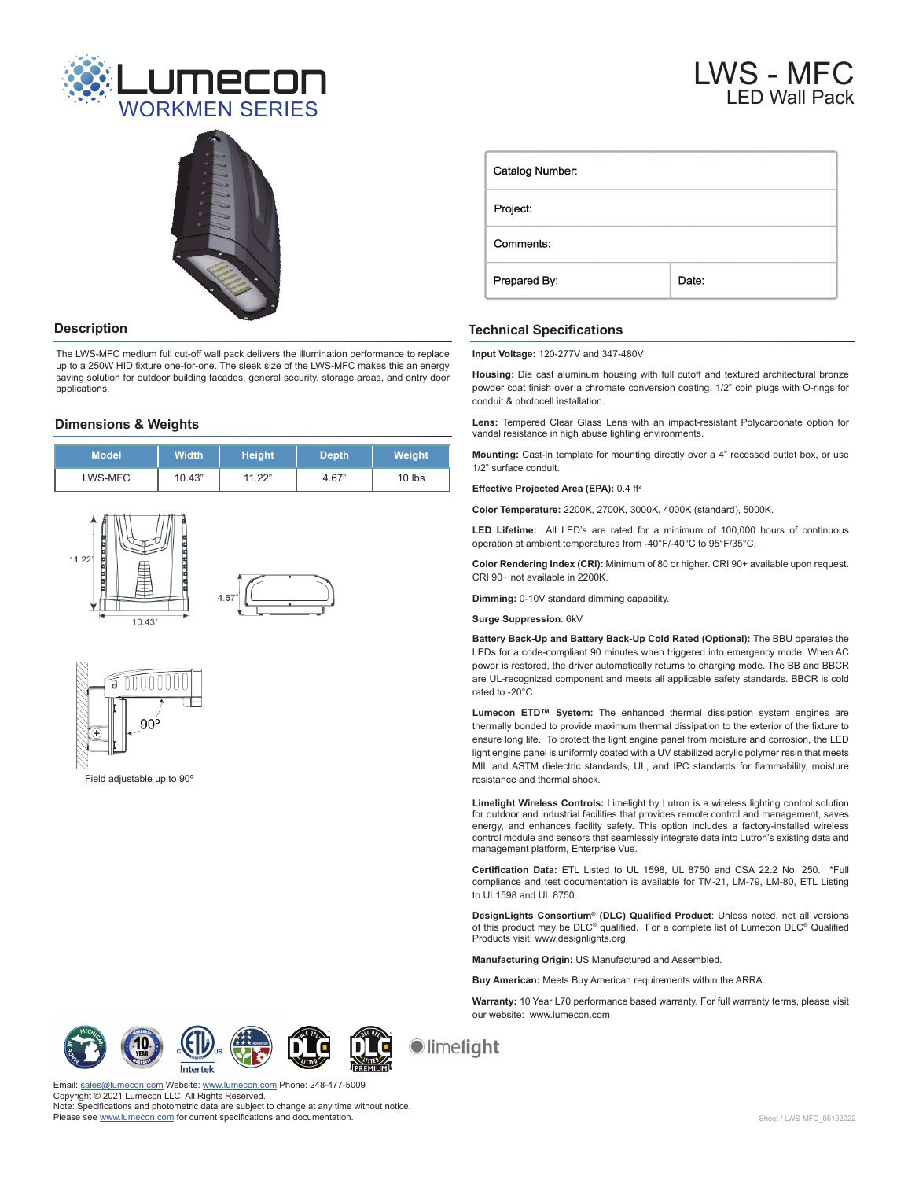



The LWS-MFC medium full cut-off wall pack delivers the illumination performance to replace up to a 250W HID fixture one-for-one. The sleek size of the LWS-MFC makes this an energy saving solution for outdoor building facades, general security, storage areas, and entry door applications.

#### **Dimensions & Weights**

| <b>Model</b> | <b>Width</b> | Height | <b>Depth</b> | <b>Weight</b> |
|--------------|--------------|--------|--------------|---------------|
| LWS-MFC      | 10.43"       | 11.22" | 4.67"        | $10$ lbs      |





Field adjustable up to 90º

| Catalog Number: |       |  |  |  |
|-----------------|-------|--|--|--|
| Project:        |       |  |  |  |
| Comments:       |       |  |  |  |
| Prepared By:    | Date: |  |  |  |

## **Description Technical Specifications**

**Input Voltage:** 120-277V and 347-480V

**Housing:** Die cast aluminum housing with full cutoff and textured architectural bronze powder coat finish over a chromate conversion coating. 1/2" coin plugs with O-rings for conduit & photocell installation.

**Lens:** Tempered Clear Glass Lens with an impact-resistant Polycarbonate option for vandal resistance in high abuse lighting environments.

**Mounting:** Cast-in template for mounting directly over a 4" recessed outlet box, or use 1/2" surface conduit.

**Effective Projected Area (EPA):** 0.4 ft²

**Color Temperature:** 2200K, 2700K, 3000K**,** 4000K (standard), 5000K.

**LED Lifetime:** All LED's are rated for a minimum of 100,000 hours of continuous operation at ambient temperatures from -40°F/-40°C to 95°F/35°C.

**Color Rendering Index (CRI):** Minimum of 80 or higher. CRI 90+ available upon request. CRI 90+ not available in 2200K.

**Dimming:** 0-10V standard dimming capability.

**Surge Suppression**: 6kV

**Battery Back-Up and Battery Back-Up Cold Rated (Optional):** The BBU operates the LEDs for a code-compliant 90 minutes when triggered into emergency mode. When AC power is restored, the driver automatically returns to charging mode. The BB and BBCR are UL-recognized component and meets all applicable safety standards. BBCR is cold rated to -20°C.

**Lumecon ETD™ System:** The enhanced thermal dissipation system engines are thermally bonded to provide maximum thermal dissipation to the exterior of the fixture to ensure long life. To protect the light engine panel from moisture and corrosion, the LED light engine panel is uniformly coated with a UV stabilized acrylic polymer resin that meets MIL and ASTM dielectric standards, UL, and IPC standards for flammability, moisture resistance and thermal shock.

**Limelight Wireless Controls:** Limelight by Lutron is a wireless lighting control solution for outdoor and industrial facilities that provides remote control and management, saves energy, and enhances facility safety. This option includes a factory-installed wireless control module and sensors that seamlessly integrate data into Lutron's existing data and management platform, Enterprise Vue.

**Certification Data:** ETL Listed to UL 1598, UL 8750 and CSA 22.2 No. 250. \*Full compliance and test documentation is available for TM-21, LM-79, LM-80, ETL Listing to UL1598 and UL 8750.

**DesignLights Consortium® (DLC) Qualified Product**: Unless noted, not all versions of this product may be DLC® qualified. For a complete list of Lumecon DLC® Qualified Products visit: www.designlights.org.

**Manufacturing Origin:** US Manufactured and Assembled.

**Buy American:** Meets Buy American requirements within the ARRA.

**Warranty:** 10 Year L70 performance based warranty. For full warranty terms, please visit our website: www.lumecon.com







limelight

on.com Website: [www.lumecon.com](https://lumecon.com/) Phone: 248-477-5009 Copyright © 2021 Lumecon LLC. All Rights Reserved. Note: Specifications and photometric data are subject to change at any time without notice. Please see [www.lumecon.com](https://lumecon.com/product/lws-mfc-medium-full-cut-off-wall-pack/) for current specifications and documentation